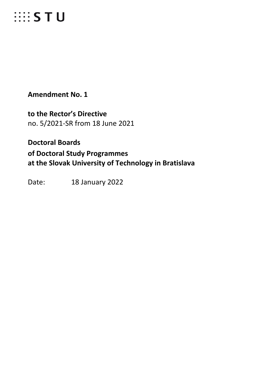# **EXECUTE:**

**Amendment No. 1**

**to the Rector's Directive** no. 5/2021-SR from 18 June 2021

**Doctoral Boards of Doctoral Study Programmes at the Slovak University of Technology in Bratislava**

Date: 18 January 2022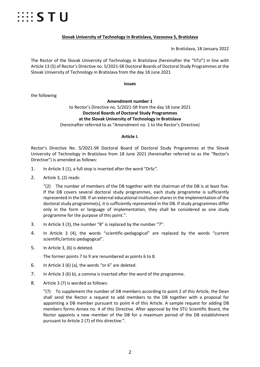

#### **Slovak University of Technology in Bratislava, Vazovova 5, Bratislava**

In Bratislava, 18 January 2022

The Rector of the Slovak University of Technology in Bratislava (hereinafter the "STU") in line with Article 13 (5) of Rector's Directive no. 5/2021-SR Doctoral Boards of Doctoral Study Programmes at the Slovak University of Technology in Bratislava from the day 18 June 2021

**issues**

the following

#### **Amendment number 1**  to Rector's Directive no. 5/2021-SR from the day 18 June 2021 **Doctoral Boards of Doctoral Study Programmes at the Slovak University of Technology in Bratislava** (hereinafter referred to as "Amendment no. 1 to the Rector's Directive)

#### **Article I.**

Rector's Directive No. 5/2021-SR Doctoral Board of Doctoral Study Programmes at the Slovak University of Technology in Bratislava from 18 June 2021 (hereinafter referred to as the "Rector's Directive") is amended as follows:

- 1. In Article 3 (1), a full stop is inserted after the word "DrSc".
- 2. Article 3, (2) reads:

"(2) The number of members of the DB together with the chairman of the DB is at least five. If the DB covers several doctoral study programmes, each study programme is sufficiently represented in the DB. If an external educational institution shares in the implementation of the doctoral study programme(s), it is sufficiently represented in the DB. If study programmes differ only in the form or language of implementation, they shall be considered as one study programme for the purpose of this point.".

- 3. In Article 3 (3), the number "8" is replaced by the number "7".
- 4. In Article 3 (4), the words "scientific-pedagogical" are replaced by the words "current scientific/artistic-pedagogical".
- 5. In Article 3, (6) is deleted.

The former points 7 to 9 are renumbered as points 6 to 8.

- 6. In Article 3 (6) (a), the words "or 6" are deleted.
- 7. In Article 3 (6) b), a comma is inserted after the word of the programme.
- 8. Article 3 (7) is worded as follows:

 $''(7)$  To supplement the number of DB members according to point 2 of this Article, the Dean shall send the Rector a request to add members to the DB together with a proposal for appointing a DB member pursuant to point 4 of this Article. A sample request for adding DB members forms Annex no. 4 of this Directive. After approval by the STU Scientific Board, the Rector appoints a new member of the DB for a maximum period of the DB establishment pursuant to Article 2 (7) of this directive.".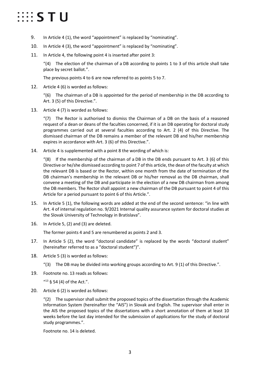# $\cdots$  STU

- 9. In Article 4 (1), the word "appointment" is replaced by "nominating".
- 10. In Article 4 (3), the word "appointment" is replaced by "nominating".
- 11. In Article 4, the following point 4 is inserted after point 3:

" $(4)$  The election of the chairman of a DB according to points 1 to 3 of this article shall take place by secret ballot.".

The previous points 4 to 6 are now referred to as points 5 to 7.

12. Article 4 (6) is worded as follows:

 $\degree$ (6) The chairman of a DB is appointed for the period of membership in the DB according to Art. 3 (5) of this Directive.".

13. Article 4 (7) is worded as follows:

"(7) The Rector is authorised to dismiss the Chairman of a DB on the basis of a reasoned request of a dean or deans of the faculties concerned, if it is an DB operating for doctoral study programmes carried out at several faculties according to Art. 2 (4) of this Directive. The dismissed chairman of the DB remains a member of the relevant DB and his/her membership expires in accordance with Art. 3 (6) of this Directive.".

14. Article 4 is supplemented with a point 8 the wording of which is:

" $(8)$  If the membership of the chairman of a DB in the DB ends pursuant to Art. 3 (6) of this Directive or he/she dismissed according to point 7 of this article, the dean of the faculty at which the relevant DB is based or the Rector, within one month from the date of termination of the DB chairman's membership in the relevant DB or his/her removal as the DB chairman, shall convene a meeting of the DB and participate in the election of a new DB chairman from among the DB members. The Rector shall appoint a new chairman of the DB pursuant to point 4 of this Article for a period pursuant to point 6 of this Article.".

- 15. In Article 5 (1), the following words are added at the end of the second sentence: "in line with Art. 4 of internal regulation no. 9/2021 Internal quality assurance system for doctoral studies at the Slovak University of Technology in Bratislava".
- 16. In Article 5, (2) and (3) are deleted.

The former points 4 and 5 are renumbered as points 2 and 3.

- 17. In Article 5 (2), the word "doctoral candidate" is replaced by the words "doctoral student" (hereinafter referred to as a "doctoral student")".
- 18. Article 5 (3) is worded as follows:
	- "(3) The DB may be divided into working groups according to Art. 9 (1) of this Directive.".
- 19. Footnote no. 13 reads as follows:

 $413 \xi$  54 (4) of the Act.".

20. Article 6 (2) is worded as follows:

" $(2)$  The supervisor shall submit the proposed topics of the dissertation through the Academic Information System (hereinafter the "AIS") in Slovak and English. The supervisor shall enter in the AIS the proposed topics of the dissertations with a short annotation of them at least 10 weeks before the last day intended for the submission of applications for the study of doctoral study programmes.".

Footnote no. 14 is deleted.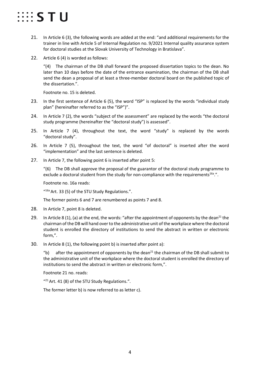# $\cdots$  STU

- 21. In Article 6 (3), the following words are added at the end: "and additional requirements for the trainer in line with Article 5 of Internal Regulation no. 9/2021 Internal quality assurance system for doctoral studies at the Slovak University of Technology in Bratislava".
- 22. Article 6 (4) is worded as follows:

 $''(4)$  The chairman of the DB shall forward the proposed dissertation topics to the dean. No later than 10 days before the date of the entrance examination, the chairman of the DB shall send the dean a proposal of at least a three-member doctoral board on the published topic of the dissertation.".

Footnote no. 15 is deleted.

- 23. In the first sentence of Article 6 (5), the word "ISP" is replaced by the words "individual study plan" (hereinafter referred to as the "ISP")".
- 24. In Article 7 (2), the words "subject of the assessment" are replaced by the words "the doctoral study programme (hereinafter the "doctoral study") is assessed".
- 25. In Article 7 (4), throughout the text, the word "study" is replaced by the words "doctoral study".
- 26. In Article 7 (5), throughout the text, the word "of doctoral" is inserted after the word "implementation" and the last sentence is deleted.
- 27. In Article 7, the following point 6 is inserted after point 5:

 $(6)$  The DB shall approve the proposal of the guarantor of the doctoral study programme to exclude a doctoral student from the study for non-compliance with the requirements<sup>16a</sup>.".

Footnote no. 16a reads:

"16a Art. 33 (5) of the STU Study Regulations.".

The former points 6 and 7 are renumbered as points 7 and 8.

- 28. In Article 7, point 8 is deleted.
- 29. In Article 8 (1), (a) at the end, the words: "after the appointment of opponents by the dean<sup>21</sup> the chairman of the DB will hand over to the administrative unit of the workplace where the doctoral student is enrolled the directory of institutions to send the abstract in written or electronic form,".
- 30. In Article 8 (1), the following point b) is inserted after point a):

"b) after the appointment of opponents by the dean<sup>21</sup> the chairman of the DB shall submit to the administrative unit of the workplace where the doctoral student is enrolled the directory of institutions to send the abstract in written or electronic form,".

Footnote 21 no. reads:

"<sup>21</sup> Art. 41 (8) of the STU Study Regulations.".

The former letter b) is now referred to as letter c).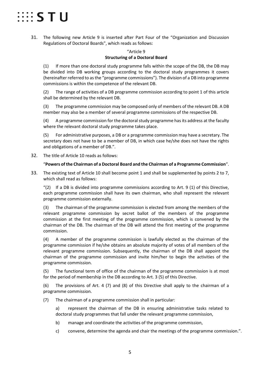# **EEE STU**

31. The following new Article 9 is inserted after Part Four of the "Organization and Discussion Regulations of Doctoral Boards", which reads as follows:

#### "Article 9 **Structuring of a Doctoral Board**

(1) If more than one doctoral study programme falls within the scope of the DB, the DB may be divided into DB working groups according to the doctoral study programmes it covers (hereinafter referred to as the "programme commissions"). The division of a DB into programme commissions is within the competence of the relevant DB.

(2) The range of activities of a DB programme commission according to point 1 of this article shall be determined by the relevant DB.

(3) The programme commission may be composed only of members of the relevant DB. A DB member may also be a member of several programme commissions of the respective DB.

(4) A programme commission for the doctoral study programme has its address at the faculty where the relevant doctoral study programme takes place.

(5) For administrative purposes, a DB or a programme commission may have a secretary. The secretary does not have to be a member of DB, in which case he/she does not have the rights and obligations of a member of DB.".

32. The title of Article 10 reads as follows:

#### "**Powers of the Chairman of a Doctoral Board and the Chairman of a Programme Commission**".

33. The existing text of Article 10 shall become point 1 and shall be supplemented by points 2 to 7, which shall read as follows:

 $\frac{1}{2}$  If a DB is divided into programme commissions according to Art. 9 (1) of this Directive, each programme commission shall have its own chairman, who shall represent the relevant programme commission externally.

(3) The chairman of the programme commission is elected from among the members of the relevant programme commission by secret ballot of the members of the programme commission at the first meeting of the programme commission, which is convened by the chairman of the DB. The chairman of the DB will attend the first meeting of the programme commission.

(4) A member of the programme commission is lawfully elected as the chairman of the programme commission if he/she obtains an absolute majority of votes of all members of the relevant programme commission. Subsequently, the chairman of the DB shall appoint the chairman of the programme commission and invite him/her to begin the activities of the programme commission.

(5) The functional term of office of the chairman of the programme commission is at most for the period of membership in the DB according to Art. 3 (5) of this Directive.

(6) The provisions of Art. 4 (7) and (8) of this Directive shall apply to the chairman of a programme commission.

(7) The chairman of a programme commission shall in particular:

a) represent the chairman of the DB in ensuring administrative tasks related to doctoral study programmes that fall under the relevant programme commission,

- b) manage and coordinate the activities of the programme commission,
- c) convene, determine the agenda and chair the meetings of the programme commission.".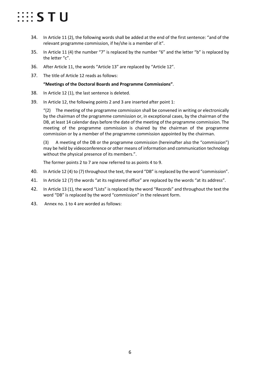# $\cdots$  STU

- 34. In Article 11 (2), the following words shall be added at the end of the first sentence: "and of the relevant programme commission, if he/she is a member of it".
- 35. In Article 11 (4) the number "7" is replaced by the number "6" and the letter "b" is replaced by the letter "c".
- 36. After Article 11, the words "Article 13" are replaced by "Article 12".
- 37. The title of Article 12 reads as follows:

#### **"Meetings of the Doctoral Boards and Programme Commissions"**.

- 38. In Article 12 (1), the last sentence is deleted.
- 39. In Article 12, the following points 2 and 3 are inserted after point 1:

 $(2)$  The meeting of the programme commission shall be convened in writing or electronically by the chairman of the programme commission or, in exceptional cases, by the chairman of the DB, at least 14 calendar days before the date of the meeting of the programme commission. The meeting of the programme commission is chaired by the chairman of the programme commission or by a member of the programme commission appointed by the chairman.

(3) A meeting of the DB or the programme commission (hereinafter also the "commission") may be held by videoconference or other means of information and communication technology without the physical presence of its members.".

The former points 2 to 7 are now referred to as points 4 to 9.

- 40. In Article 12 (4) to (7) throughout the text, the word "DB" is replaced by the word "commission".
- 41. In Article 12 (7) the words "at its registered office" are replaced by the words "at its address".
- 42. In Article 13 (1), the word "Lists" is replaced by the word "Records" and throughout the text the word "DB" is replaced by the word "commission" in the relevant form.
- 43. Annex no. 1 to 4 are worded as follows: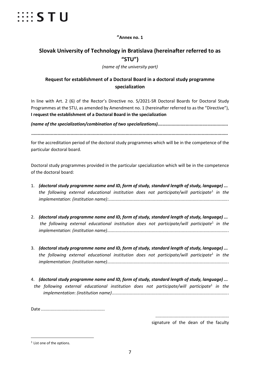

#### **"Annex no. 1**

## **Slovak University of Technology in Bratislava (hereinafter referred to as "STU")**

*(name of the university part)*

## **Request for establishment of a Doctoral Board in a doctoral study programme specialization**

In line with Art. 2 (6) of the Rector's Directive no. 5/2021-SR Doctoral Boards for Doctoral Study Programmes at the STU, as amended by Amendment no. 1 (hereinafter referred to as the "Directive"), **I request the establishment of a Doctoral Board in the specialization**

*(name of the specialization/combination of two specializations).......................................................*

*......................................................................................................................................................*

for the accreditation period of the doctoral study programmes which will be in the competence of the particular doctoral board.

Doctoral study programmes provided in the particular specialization which will be in the competence of the doctoral board:

- 1. *(doctoral study programme name and ID, form of study, standard length of study, language) ... the following external educational institution does not participate/will participate<sup>[1](#page-6-0)</sup> in the implementation*: *(institution name):...................................................................................................*.
- 2. *(doctoral study programme name and ID, form of study, standard length of study, language) ... the following external educational institution does not participate/will participate<sup>1</sup> in the implementation*: *(institution name)....................................................................................................*.
- 3. *(doctoral study programme name and ID, form of study, standard length of study, language) ... the following external educational institution does not participate/will participate<sup>1</sup> in the implementation*: *(institution name)....................................................................................................*.
- 4. *(doctoral study programme name and ID, form of study, standard length of study, language) ... the following external educational institution does not participate/will participate*<sup>1</sup> *in the implementation*: *(institution name)................................................................................................*.

Date .....................................................

.............................................................

signature of the dean of the faculty

<span id="page-6-0"></span><sup>&</sup>lt;sup>1</sup> List one of the options.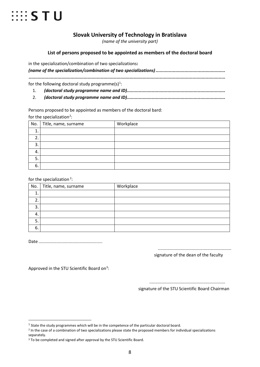

## **Slovak University of Technology in Bratislava**

*(name of the university part)*

#### **List of persons proposed to be appointed as members of the doctoral board**

in the specialization/combination of two specializations**:**

|  | for the following doctoral study programme(s) <sup>1</sup> : |
|--|--------------------------------------------------------------|
|  |                                                              |

2. *(doctoral study programme name and ID)...........................................................................*

Persons proposed to be appointed as members of the doctoral bard: for the specialization<sup>[2](#page-7-1)</sup>:

| No.      | Title, name, surname | Workplace |
|----------|----------------------|-----------|
| л        |                      |           |
| <u>.</u> |                      |           |
| З.       |                      |           |
| 4.       |                      |           |
|          |                      |           |
| 6.       |                      |           |

for the specialization<sup>2</sup>:

| No.     | Title, name, surname | Workplace |
|---------|----------------------|-----------|
|         |                      |           |
| ∍<br>z. |                      |           |
| 3.      |                      |           |
| 4.      |                      |           |
| 5.      |                      |           |
| 6.      |                      |           |

Date .....................................................

.............................................................

signature of the dean of the faculty

Approved in the STU Scientific Board on<sup>3</sup>:

............................................................... signature of the STU Scientific Board Chairman

<span id="page-7-0"></span> $<sup>1</sup>$  State the study programmes which will be in the competence of the particular doctoral board.</sup>

<span id="page-7-1"></span><sup>&</sup>lt;sup>2</sup> In the case of a combination of two specializations please state the proposed members for individual specializations separately.

<span id="page-7-2"></span><sup>&</sup>lt;sup>3</sup> To be completed and signed after approval by the STU Scientific Board.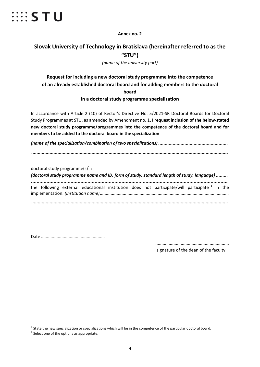

**Annex no. 2**

## **Slovak University of Technology in Bratislava (hereinafter referred to as the "STU")**

*(name of the university part)*

## **Request for including a new doctoral study programme into the competence of an already established doctoral board and for adding members to the doctoral board in a doctoral study programme specialization**

In accordance with Article 2 (10) of Rector's Directive No. 5/2021-SR Doctoral Boards for Doctoral Study Programmes at STU, as amended by Amendment no. 1**, I request inclusion of the below-stated new doctoral study programme/programmes into the competence of the doctoral board and for members to be added to the doctoral board in the specialization**

*(name of the specialization/combination of two specializations) .....................................................*

*......................................................................................................................................................*

doctoral study programme $(s)^1$  $(s)^1$ : *(doctoral study programme name and ID, form of study, standard length of study, language) ......... ...........................................................................................................................................* the following external educational institution does not participate/will participate **[2](#page-8-1)** in the implementation: *(institution name)........................................................................................................... ......................................................................................................................................................*

Date .....................................................

.............................................................

signature of the dean of the faculty

<span id="page-8-0"></span> $1$  State the new specialization or specializations which will be in the competence of the particular doctoral board.

<span id="page-8-1"></span><sup>&</sup>lt;sup>2</sup> Select one of the options as appropriate.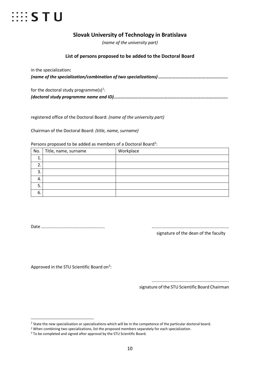

## **Slovak University of Technology in Bratislava**

*(name of the university part)*

#### **List of persons proposed to be added to the Doctoral Board**

in the specialization**:** *(name of the specialization/combination of two specializations) .....................................................*

| for the doctoral study programme(s) <sup>1</sup> : |
|----------------------------------------------------|
|                                                    |

registered office of the Doctoral Board: *(name of the university part)*

Chairman of the Doctoral Board: *(title, name, surname)*

Persons proposed to be added as members of a Doctoral Board<sup>[2](#page-9-1)</sup>:

| No.     | Title, name, surname | Workplace |
|---------|----------------------|-----------|
| 4<br>Œ. |                      |           |
| ∍       |                      |           |
| 3.      |                      |           |
| 4.      |                      |           |
| 5       |                      |           |
| 6.      |                      |           |

Date ..................................................... ................................................................

signature of the dean of the faculty

Approved in the STU Scientific Board on<sup>[3](#page-9-2)</sup>:

................................................................

signature of the STU Scientific Board Chairman

<span id="page-9-0"></span> $1$  State the new specialization or specializations which will be in the competence of the particular doctoral board.

<span id="page-9-1"></span><sup>&</sup>lt;sup>2</sup> When combining two specializations, list the proposed members separately for each specialization.

<span id="page-9-2"></span><sup>&</sup>lt;sup>3</sup> To be completed and signed after approval by the STU Scientific Board.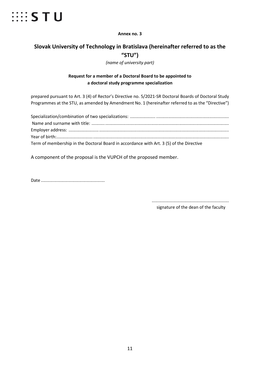

**Annex no. 3**

## **Slovak University of Technology in Bratislava (hereinafter referred to as the "STU")**

*(name of university part)*

### **Request for a member of a Doctoral Board to be appointed to a doctoral study programme specialization**

prepared pursuant to Art. 3 (4) of Rector's Directive no. 5/2021-SR Doctoral Boards of Doctoral Study Programmes at the STU, as amended by Amendment No. 1 (hereinafter referred to as the "Directive")

| Term of membership in the Doctoral Board in accordance with Art. 3 (5) of the Directive |
|-----------------------------------------------------------------------------------------|

A component of the proposal is the VUPCH of the proposed member.

Date .....................................................

................................................................ signature of the dean of the faculty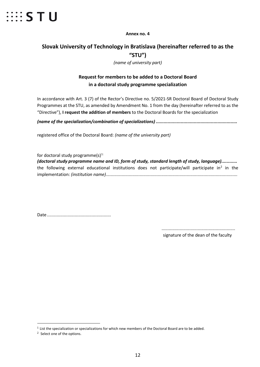

**Annex no. 4**

## **Slovak University of Technology in Bratislava (hereinafter referred to as the "STU")**

*(name of university part)*

## **Request for members to be added to a Doctoral Board in a doctoral study programme specialization**

In accordance with Art. 3 (7) of the Rector's Directive no. 5/2021-SR Doctoral Board of Doctoral Study Programmes at the STU, as amended by Amendment No. 1 from the day (hereinafter referred to as the "Directive"), **I request the addition of members** to the Doctoral Boards for the specialization

*(name of the specialization/combination of specializations) ..............................................................*

registered office of the Doctoral Board: *(name of the university part)*

for doctoral study programme $(s)$ <sup>[1:](#page-11-0)</sup>

*(doctoral study programme name and ID, form of study, standard length of study, language)............* the following external educational institutions does not participate/will participate in<sup>[2](#page-11-1)</sup> in the implementation: *(institution name).............................................................................................................*

Date.....................................................

............................................................. signature of the dean of the faculty

<span id="page-11-0"></span> <sup>1</sup> List the specialization or specializations for which new members of the Doctoral Board are to be added.

<span id="page-11-1"></span><sup>2</sup> Select one of the options.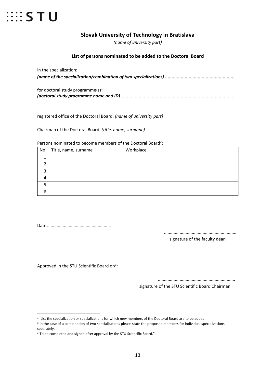

### **Slovak University of Technology in Bratislava**

*(name of university part)*

#### **List of persons nominated to be added to the Doctoral Board**

In the specialization**:** *(name of the specialization/combination of two specializations) .....................................................*

| for doctoral study programme $(s)^{1}$ |
|----------------------------------------|
|                                        |

registered office of the Doctoral Board: *(name of university part)*

Chairman of the Doctoral Board: *(title, name, surname)*

Persons nominated to become members of the Doctoral Board<sup>[2](#page-12-1)</sup>:

| No. | Title, name, surname | Workplace |
|-----|----------------------|-----------|
| ∸.  |                      |           |
| ۷.  |                      |           |
| 3.  |                      |           |
| 4.  |                      |           |
| o.  |                      |           |
| 6.  |                      |           |

Date.....................................................

.............................................................

signature of the faculty dean

Approved in the STU Scientific Board on<sup>3</sup>:

................................................................

signature of the STU Scientific Board Chairman

<span id="page-12-1"></span><span id="page-12-0"></span> $1$  List the specialization or specializations for which new members of the Doctoral Board are to be added.

<sup>&</sup>lt;sup>2</sup> In the case of a combination of two specializations please state the proposed members for individual specializations separately.

<span id="page-12-2"></span><sup>&</sup>lt;sup>3</sup> To be completed and signed after approval by the STU Scientific Board.".